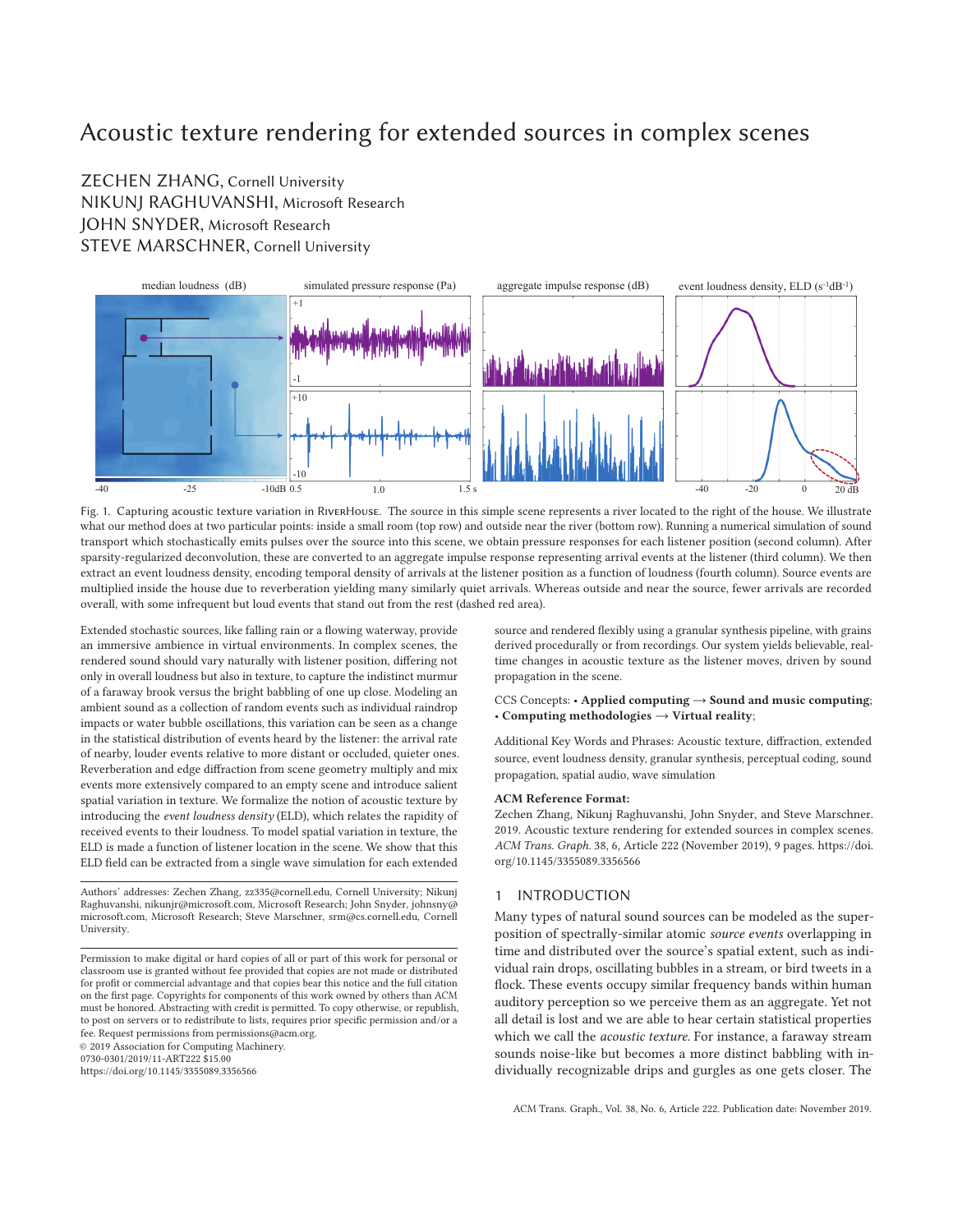# Acoustic texture rendering for extended sources in complex scenes

# ZECHEN ZHANG, Cornell University NIKUNJ RAGHUVANSHI, Microsoft Research JOHN SNYDER, Microsoft Research STEVE MARSCHNER, Cornell University



Fig. 1. Capturing acoustic texture variation in RiverHouse. The source in this simple scene represents a river located to the right of the house. We illustrate what our method does at two particular points: inside a small room (top row) and outside near the river (bottom row). Running a numerical simulation of sound transport which stochastically emits pulses over the source into this scene, we obtain pressure responses for each listener position (second column). After sparsity-regularized deconvolution, these are converted to an aggregate impulse response representing arrival events at the listener (third column). We then extract an event loudness density, encoding temporal density of arrivals at the listener position as a function of loudness (fourth column). Source events are multiplied inside the house due to reverberation yielding many similarly quiet arrivals. Whereas outside and near the source, fewer arrivals are recorded overall, with some infrequent but loud events that stand out from the rest (dashed red area).

Extended stochastic sources, like falling rain or a flowing waterway, provide an immersive ambience in virtual environments. In complex scenes, the rendered sound should vary naturally with listener position, differing not only in overall loudness but also in texture, to capture the indistinct murmur of a faraway brook versus the bright babbling of one up close. Modeling an ambient sound as a collection of random events such as individual raindrop impacts or water bubble oscillations, this variation can be seen as a change in the statistical distribution of events heard by the listener: the arrival rate of nearby, louder events relative to more distant or occluded, quieter ones. Reverberation and edge diffraction from scene geometry multiply and mix events more extensively compared to an empty scene and introduce salient spatial variation in texture. We formalize the notion of acoustic texture by introducing the *event loudness density* (ELD), which relates the rapidity of received events to their loudness. To model spatial variation in texture, the ELD is made a function of listener location in the scene. We show that this ELD field can be extracted from a single wave simulation for each extended

Authors' addresses: Zechen Zhang, zz335@cornell.edu, Cornell University; Nikunj Raghuvanshi, nikunjr@microsoft.com, Microsoft Research; John Snyder, johnsny@ microsoft.com, Microsoft Research; Steve Marschner, srm@cs.cornell.edu, Cornell University.

0730-0301/2019/11-ART222 \$15.00

https://doi.org/10.1145/3355089.3356566

source and rendered flexibly using a granular synthesis pipeline, with grains derived procedurally or from recordings. Our system yields believable, realtime changes in acoustic texture as the listener moves, driven by sound propagation in the scene.

#### CCS Concepts: • **Applied computing** → **Sound and music computing**; • **Computing methodologies** → **Virtual reality**;

Additional Key Words and Phrases: Acoustic texture, diffraction, extended source, event loudness density, granular synthesis, perceptual coding, sound propagation, spatial audio, wave simulation

#### **ACM Reference Format:**

Zechen Zhang, Nikunj Raghuvanshi, John Snyder, and Steve Marschner. 2019. Acoustic texture rendering for extended sources in complex scenes. *ACM Trans. Graph.* 38, 6, Article 222 (November 2019), 9 pages. https://doi. org/10.1145/3355089.3356566

# 1 INTRODUCTION

Many types of natural sound sources can be modeled as the superposition of spectrally-similar atomic *source events* overlapping in time and distributed over the source's spatial extent, such as individual rain drops, oscillating bubbles in a stream, or bird tweets in a flock. These events occupy similar frequency bands within human auditory perception so we perceive them as an aggregate. Yet not all detail is lost and we are able to hear certain statistical properties which we call the *acoustic texture*. For instance, a faraway stream sounds noise-like but becomes a more distinct babbling with individually recognizable drips and gurgles as one gets closer. The

Permission to make digital or hard copies of all or part of this work for personal or classroom use is granted without fee provided that copies are not made or distributed for profit or commercial advantage and that copies bear this notice and the full citation on the first page. Copyrights for components of this work owned by others than ACM must be honored. Abstracting with credit is permitted. To copy otherwise, or republish, to post on servers or to redistribute to lists, requires prior specific permission and/or a fee. Request permissions from permissions@acm.org. © 2019 Association for Computing Machinery.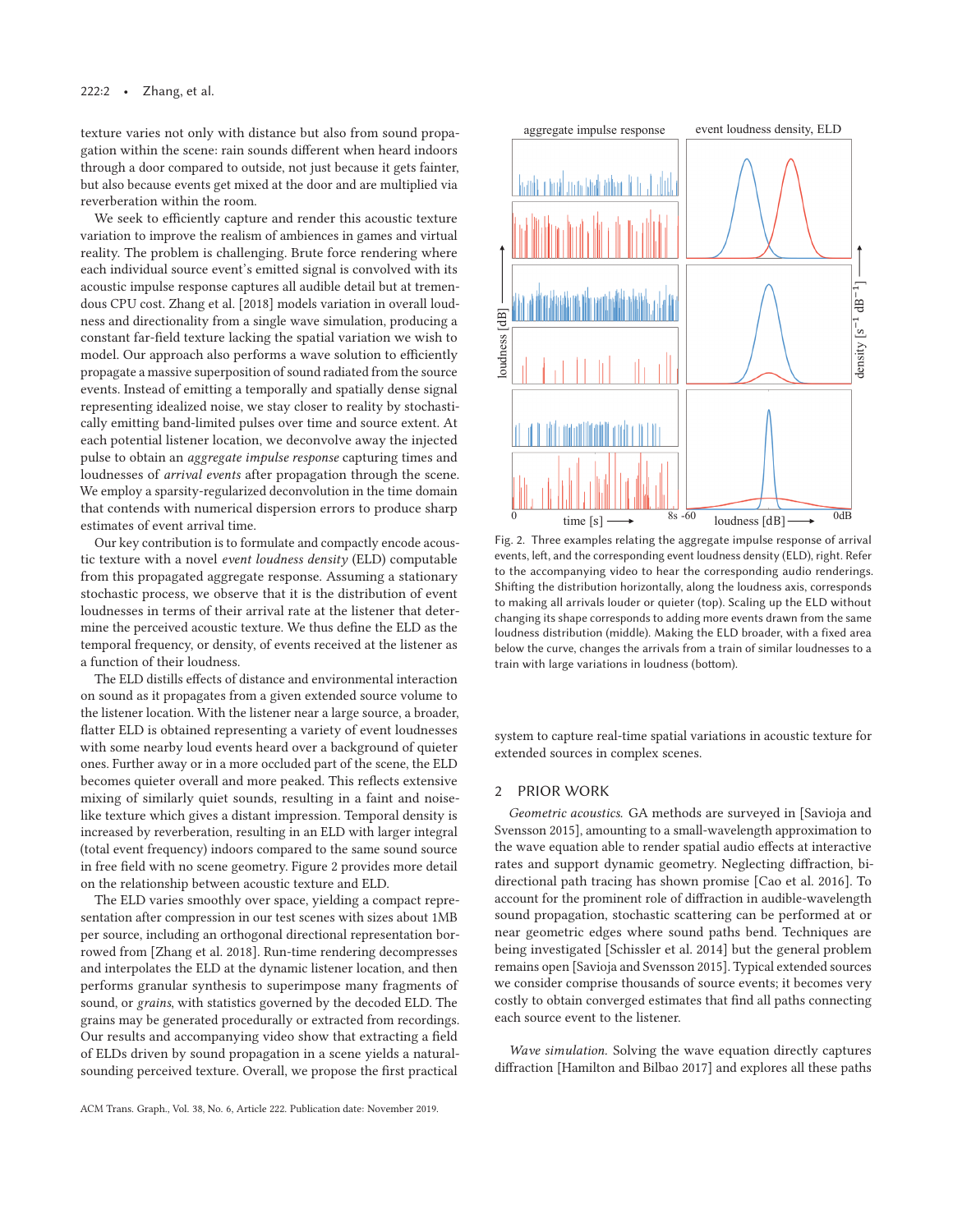texture varies not only with distance but also from sound propagation within the scene: rain sounds different when heard indoors through a door compared to outside, not just because it gets fainter, but also because events get mixed at the door and are multiplied via reverberation within the room.

We seek to efficiently capture and render this acoustic texture variation to improve the realism of ambiences in games and virtual reality. The problem is challenging. Brute force rendering where each individual source event's emitted signal is convolved with its acoustic impulse response captures all audible detail but at tremendous CPU cost. Zhang et al. [2018] models variation in overall loudness and directionality from a single wave simulation, producing a constant far-field texture lacking the spatial variation we wish to model. Our approach also performs a wave solution to efficiently propagate a massive superposition of sound radiated from the source events. Instead of emitting a temporally and spatially dense signal representing idealized noise, we stay closer to reality by stochastically emitting band-limited pulses over time and source extent. At each potential listener location, we deconvolve away the injected pulse to obtain an *aggregate impulse response* capturing times and loudnesses of *arrival events* after propagation through the scene. We employ a sparsity-regularized deconvolution in the time domain that contends with numerical dispersion errors to produce sharp estimates of event arrival time.

Our key contribution is to formulate and compactly encode acoustic texture with a novel *event loudness density* (ELD) computable from this propagated aggregate response. Assuming a stationary stochastic process, we observe that it is the distribution of event loudnesses in terms of their arrival rate at the listener that determine the perceived acoustic texture. We thus define the ELD as the temporal frequency, or density, of events received at the listener as a function of their loudness.

The ELD distills effects of distance and environmental interaction on sound as it propagates from a given extended source volume to the listener location. With the listener near a large source, a broader, flatter ELD is obtained representing a variety of event loudnesses with some nearby loud events heard over a background of quieter ones. Further away or in a more occluded part of the scene, the ELD becomes quieter overall and more peaked. This reflects extensive mixing of similarly quiet sounds, resulting in a faint and noiselike texture which gives a distant impression. Temporal density is increased by reverberation, resulting in an ELD with larger integral (total event frequency) indoors compared to the same sound source in free field with no scene geometry. Figure 2 provides more detail on the relationship between acoustic texture and ELD.

The ELD varies smoothly over space, yielding a compact representation after compression in our test scenes with sizes about 1MB per source, including an orthogonal directional representation borrowed from [Zhang et al. 2018]. Run-time rendering decompresses and interpolates the ELD at the dynamic listener location, and then performs granular synthesis to superimpose many fragments of sound, or *grains*, with statistics governed by the decoded ELD. The grains may be generated procedurally or extracted from recordings. Our results and accompanying video show that extracting a field of ELDs driven by sound propagation in a scene yields a naturalsounding perceived texture. Overall, we propose the first practical



Fig. 2. Three examples relating the aggregate impulse response of arrival events, left, and the corresponding event loudness density (ELD), right. Refer to the accompanying video to hear the corresponding audio renderings. Shifting the distribution horizontally, along the loudness axis, corresponds to making all arrivals louder or quieter (top). Scaling up the ELD without changing its shape corresponds to adding more events drawn from the same loudness distribution (middle). Making the ELD broader, with a fixed area below the curve, changes the arrivals from a train of similar loudnesses to a train with large variations in loudness (bottom).

system to capture real-time spatial variations in acoustic texture for extended sources in complex scenes.

#### 2 PRIOR WORK

*Geometric acoustics.* GA methods are surveyed in [Savioja and Svensson 2015], amounting to a small-wavelength approximation to the wave equation able to render spatial audio effects at interactive rates and support dynamic geometry. Neglecting diffraction, bidirectional path tracing has shown promise [Cao et al. 2016]. To account for the prominent role of diffraction in audible-wavelength sound propagation, stochastic scattering can be performed at or near geometric edges where sound paths bend. Techniques are being investigated [Schissler et al. 2014] but the general problem remains open [Savioja and Svensson 2015]. Typical extended sources we consider comprise thousands of source events; it becomes very costly to obtain converged estimates that find all paths connecting each source event to the listener.

*Wave simulation.* Solving the wave equation directly captures diffraction [Hamilton and Bilbao 2017] and explores all these paths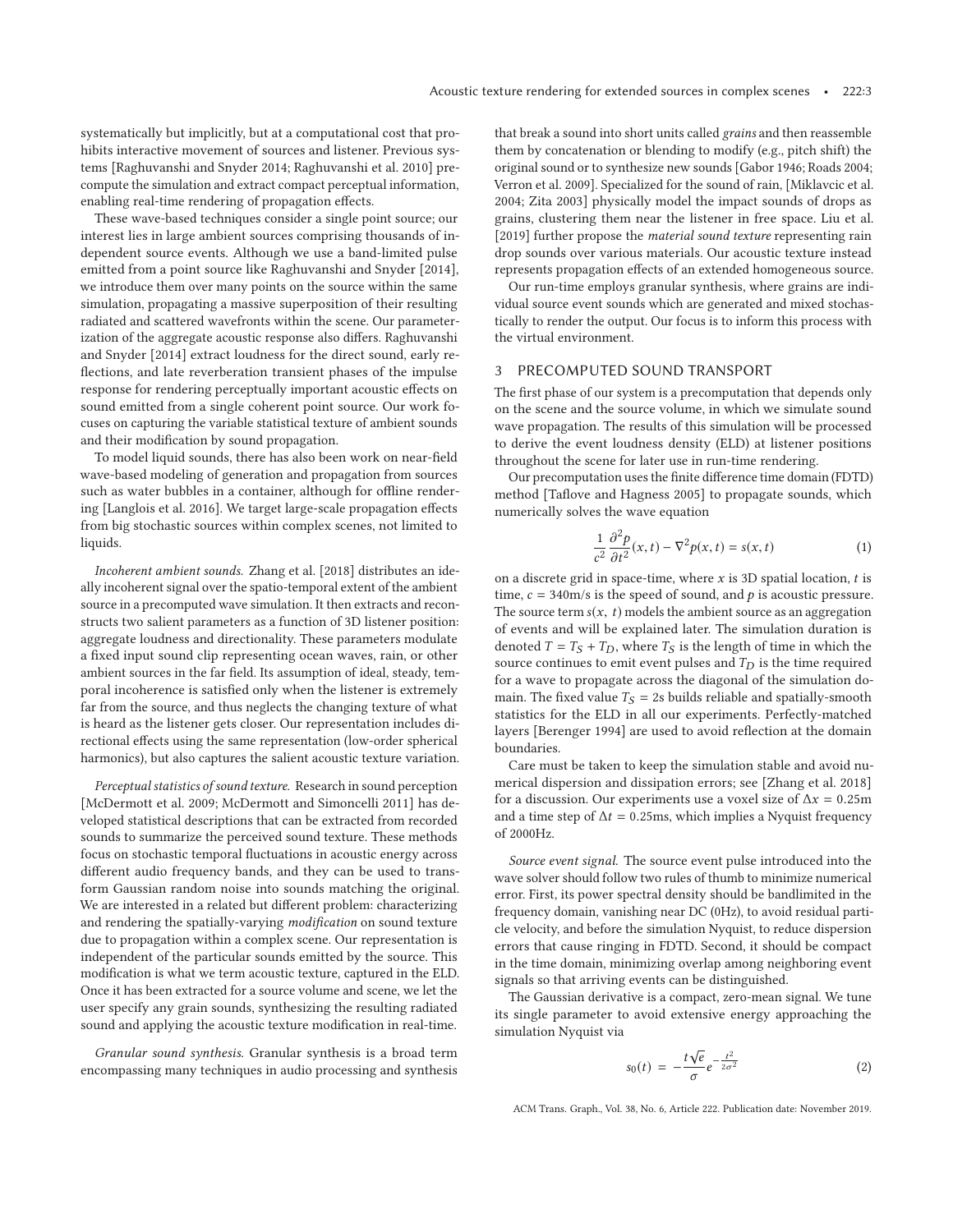systematically but implicitly, but at a computational cost that prohibits interactive movement of sources and listener. Previous systems [Raghuvanshi and Snyder 2014; Raghuvanshi et al. 2010] precompute the simulation and extract compact perceptual information, enabling real-time rendering of propagation effects.

These wave-based techniques consider a single point source; our interest lies in large ambient sources comprising thousands of independent source events. Although we use a band-limited pulse emitted from a point source like Raghuvanshi and Snyder [2014], we introduce them over many points on the source within the same simulation, propagating a massive superposition of their resulting radiated and scattered wavefronts within the scene. Our parameterization of the aggregate acoustic response also differs. Raghuvanshi and Snyder [2014] extract loudness for the direct sound, early reflections, and late reverberation transient phases of the impulse response for rendering perceptually important acoustic effects on sound emitted from a single coherent point source. Our work focuses on capturing the variable statistical texture of ambient sounds and their modification by sound propagation.

To model liquid sounds, there has also been work on near-field wave-based modeling of generation and propagation from sources such as water bubbles in a container, although for offline rendering [Langlois et al. 2016]. We target large-scale propagation effects from big stochastic sources within complex scenes, not limited to liquids.

*Incoherent ambient sounds.* Zhang et al. [2018] distributes an ideally incoherent signal over the spatio-temporal extent of the ambient source in a precomputed wave simulation. It then extracts and reconstructs two salient parameters as a function of 3D listener position: aggregate loudness and directionality. These parameters modulate a fixed input sound clip representing ocean waves, rain, or other ambient sources in the far field. Its assumption of ideal, steady, temporal incoherence is satisfied only when the listener is extremely far from the source, and thus neglects the changing texture of what is heard as the listener gets closer. Our representation includes directional effects using the same representation (low-order spherical harmonics), but also captures the salient acoustic texture variation.

*Perceptual statistics of sound texture.* Research in sound perception [McDermott et al. 2009; McDermott and Simoncelli 2011] has developed statistical descriptions that can be extracted from recorded sounds to summarize the perceived sound texture. These methods focus on stochastic temporal fluctuations in acoustic energy across different audio frequency bands, and they can be used to transform Gaussian random noise into sounds matching the original. We are interested in a related but different problem: characterizing and rendering the spatially-varying *modification* on sound texture due to propagation within a complex scene. Our representation is independent of the particular sounds emitted by the source. This modification is what we term acoustic texture, captured in the ELD. Once it has been extracted for a source volume and scene, we let the user specify any grain sounds, synthesizing the resulting radiated sound and applying the acoustic texture modification in real-time.

*Granular sound synthesis.* Granular synthesis is a broad term encompassing many techniques in audio processing and synthesis that break a sound into short units called *grains* and then reassemble them by concatenation or blending to modify (e.g., pitch shift) the original sound or to synthesize new sounds [Gabor 1946; Roads 2004; Verron et al. 2009]. Specialized for the sound of rain, [Miklavcic et al. 2004; Zita 2003] physically model the impact sounds of drops as grains, clustering them near the listener in free space. Liu et al. [2019] further propose the *material sound texture* representing rain drop sounds over various materials. Our acoustic texture instead represents propagation effects of an extended homogeneous source.

Our run-time employs granular synthesis, where grains are individual source event sounds which are generated and mixed stochastically to render the output. Our focus is to inform this process with the virtual environment.

# 3 PRECOMPUTED SOUND TRANSPORT

The first phase of our system is a precomputation that depends only on the scene and the source volume, in which we simulate sound wave propagation. The results of this simulation will be processed to derive the event loudness density (ELD) at listener positions throughout the scene for later use in run-time rendering.

Our precomputation uses the finite difference time domain (FDTD) method [Taflove and Hagness 2005] to propagate sounds, which numerically solves the wave equation

$$
\frac{1}{c^2} \frac{\partial^2 p}{\partial t^2}(x, t) - \nabla^2 p(x, t) = s(x, t)
$$
 (1)

on a discrete grid in space-time, where  $x$  is 3D spatial location,  $t$  is time,  $c = 340$ m/s is the speed of sound, and p is acoustic pressure. The source term  $s(x, t)$  models the ambient source as an aggregation of events and will be explained later. The simulation duration is denoted  $T = T_S + T_D$ , where  $T_S$  is the length of time in which the source continues to emit event pulses and  $T_D$  is the time required for a wave to propagate across the diagonal of the simulation domain. The fixed value  $T<sub>S</sub> = 2s$  builds reliable and spatially-smooth statistics for the ELD in all our experiments. Perfectly-matched layers [Berenger 1994] are used to avoid reflection at the domain boundaries.

Care must be taken to keep the simulation stable and avoid numerical dispersion and dissipation errors; see [Zhang et al. 2018] for a discussion. Our experiments use a voxel size of  $\Delta x = 0.25$ m and a time step of  $\Delta t = 0.25$ ms, which implies a Nyquist frequency of 2000Hz.

*Source event signal.* The source event pulse introduced into the wave solver should follow two rules of thumb to minimize numerical error. First, its power spectral density should be bandlimited in the frequency domain, vanishing near DC (0Hz), to avoid residual particle velocity, and before the simulation Nyquist, to reduce dispersion errors that cause ringing in FDTD. Second, it should be compact in the time domain, minimizing overlap among neighboring event signals so that arriving events can be distinguished.

The Gaussian derivative is a compact, zero-mean signal. We tune its single parameter to avoid extensive energy approaching the simulation Nyquist via

$$
s_0(t) = -\frac{t\sqrt{e}}{\sigma}e^{-\frac{t^2}{2\sigma^2}}\tag{2}
$$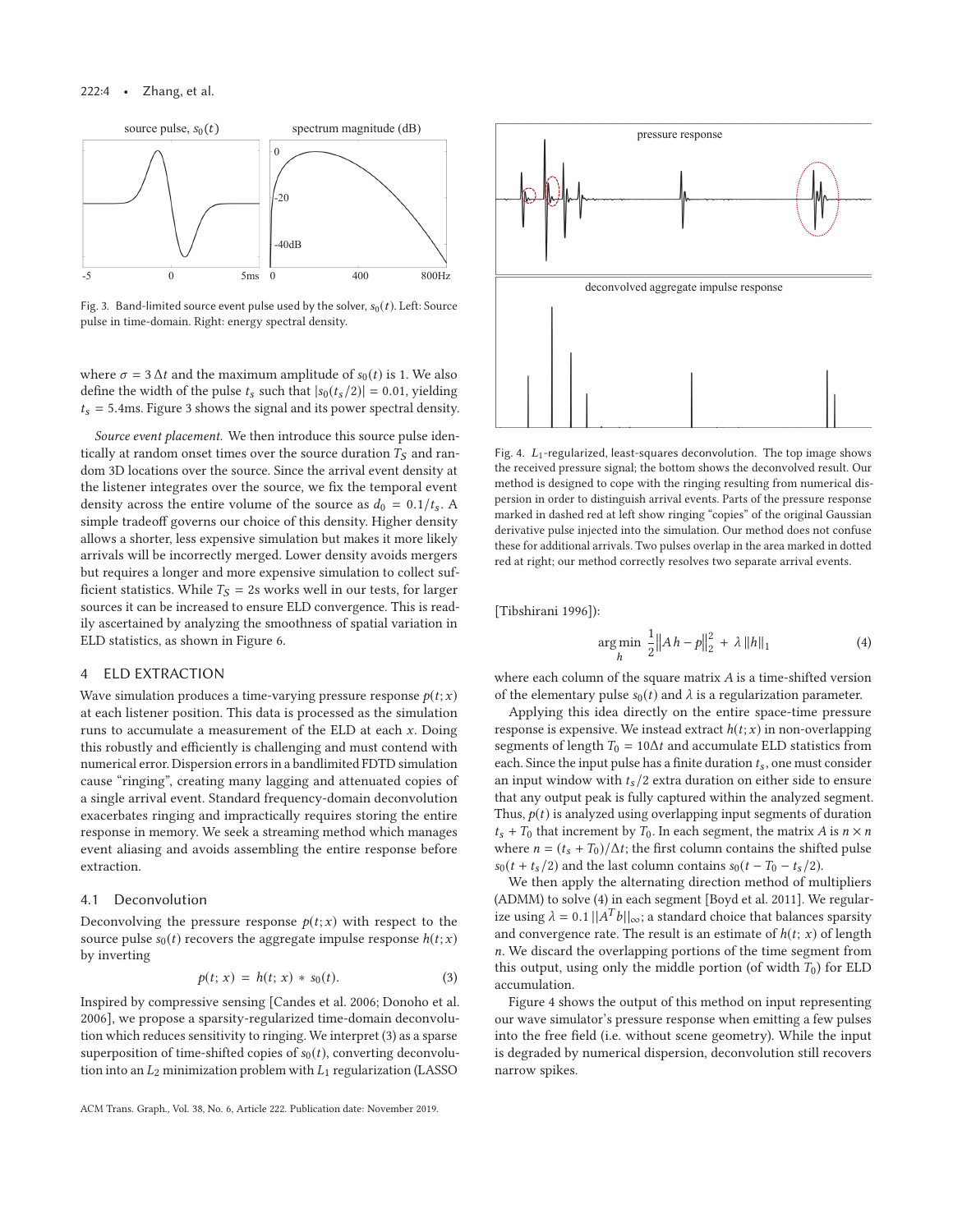#### 222:4 • Zhang, et al.



Fig. 3. Band-limited source event pulse used by the solver,  $s_0(t)$ . Left: Source pulse in time-domain. Right: energy spectral density.

where  $\sigma = 3 \Delta t$  and the maximum amplitude of  $s_0(t)$  is 1. We also define the width of the pulse  $t_s$  such that  $|s_0(t_s/2)| = 0.01$ , yielding  $t_s$  = 5.4ms. Figure 3 shows the signal and its power spectral density.

*Source event placement.* We then introduce this source pulse identically at random onset times over the source duration  $T_S$  and random 3D locations over the source. Since the arrival event density at the listener integrates over the source, we fix the temporal event density across the entire volume of the source as  $d_0 = 0.1/t_s$ . A simple tradeoff governs our choice of this density. Higher density allows a shorter, less expensive simulation but makes it more likely arrivals will be incorrectly merged. Lower density avoids mergers but requires a longer and more expensive simulation to collect sufficient statistics. While  $T_S = 2s$  works well in our tests, for larger sources it can be increased to ensure ELD convergence. This is readily ascertained by analyzing the smoothness of spatial variation in ELD statistics, as shown in Figure 6.

# 4 ELD EXTRACTION

Wave simulation produces a time-varying pressure response  $p(t; x)$ at each listener position. This data is processed as the simulation runs to accumulate a measurement of the ELD at each  $x$ . Doing this robustly and efficiently is challenging and must contend with numerical error. Dispersion errors in a bandlimited FDTD simulation cause "ringing", creating many lagging and attenuated copies of a single arrival event. Standard frequency-domain deconvolution exacerbates ringing and impractically requires storing the entire response in memory. We seek a streaming method which manages event aliasing and avoids assembling the entire response before extraction.

# 4.1 Deconvolution

Deconvolving the pressure response  $p(t; x)$  with respect to the source pulse  $s_0(t)$  recovers the aggregate impulse response  $h(t; x)$ by inverting

$$
p(t; x) = h(t; x) * s_0(t).
$$
 (3)

Inspired by compressive sensing [Candes et al. 2006; Donoho et al. 2006], we propose a sparsity-regularized time-domain deconvolution which reduces sensitivity to ringing. We interpret (3) as a sparse superposition of time-shifted copies of  $s_0(t)$ , converting deconvolution into an  $L_2$  minimization problem with  $L_1$  regularization (LASSO





Fig. 4.  $L_1$ -regularized, least-squares deconvolution. The top image shows the received pressure signal; the bottom shows the deconvolved result. Our method is designed to cope with the ringing resulting from numerical dispersion in order to distinguish arrival events. Parts of the pressure response marked in dashed red at left show ringing "copies" of the original Gaussian derivative pulse injected into the simulation. Our method does not confuse these for additional arrivals. Two pulses overlap in the area marked in dotted red at right; our method correctly resolves two separate arrival events.

[Tibshirani 1996]):

$$
\underset{h}{\arg\min} \ \frac{1}{2} \|Ah - p\|_2^2 + \lambda \|h\|_1 \tag{4}
$$

where each column of the square matrix A is a time-shifted version of the elementary pulse  $s_0(t)$  and  $\lambda$  is a regularization parameter.

Applying this idea directly on the entire space-time pressure response is expensive. We instead extract  $h(t; x)$  in non-overlapping segments of length  $T_0 = 10\Delta t$  and accumulate ELD statistics from each. Since the input pulse has a finite duration  $t_s$ , one must consider an input window with  $t_s/2$  extra duration on either side to ensure that any output peak is fully captured within the analyzed segment. Thus,  $p(t)$  is analyzed using overlapping input segments of duration  $t_s$  +  $T_0$  that increment by  $T_0.$  In each segment, the matrix  $A$  is  $n\times n$ where  $n = (t_s + T_0)/\Delta t$ ; the first column contains the shifted pulse  $s_0(t + t_s/2)$  and the last column contains  $s_0(t - T_0 - t_s/2)$ .

We then apply the alternating direction method of multipliers (ADMM) to solve (4) in each segment [Boyd et al. 2011]. We regularize using  $\lambda = 0.1 ||A^T b||_{\infty}$ ; a standard choice that balances sparsity and convergence rate. The result is an estimate of  $h(t; x)$  of length n. We discard the overlapping portions of the time segment from this output, using only the middle portion (of width  $T_0$ ) for ELD accumulation.

Figure 4 shows the output of this method on input representing our wave simulator's pressure response when emitting a few pulses into the free field (i.e. without scene geometry). While the input is degraded by numerical dispersion, deconvolution still recovers narrow spikes.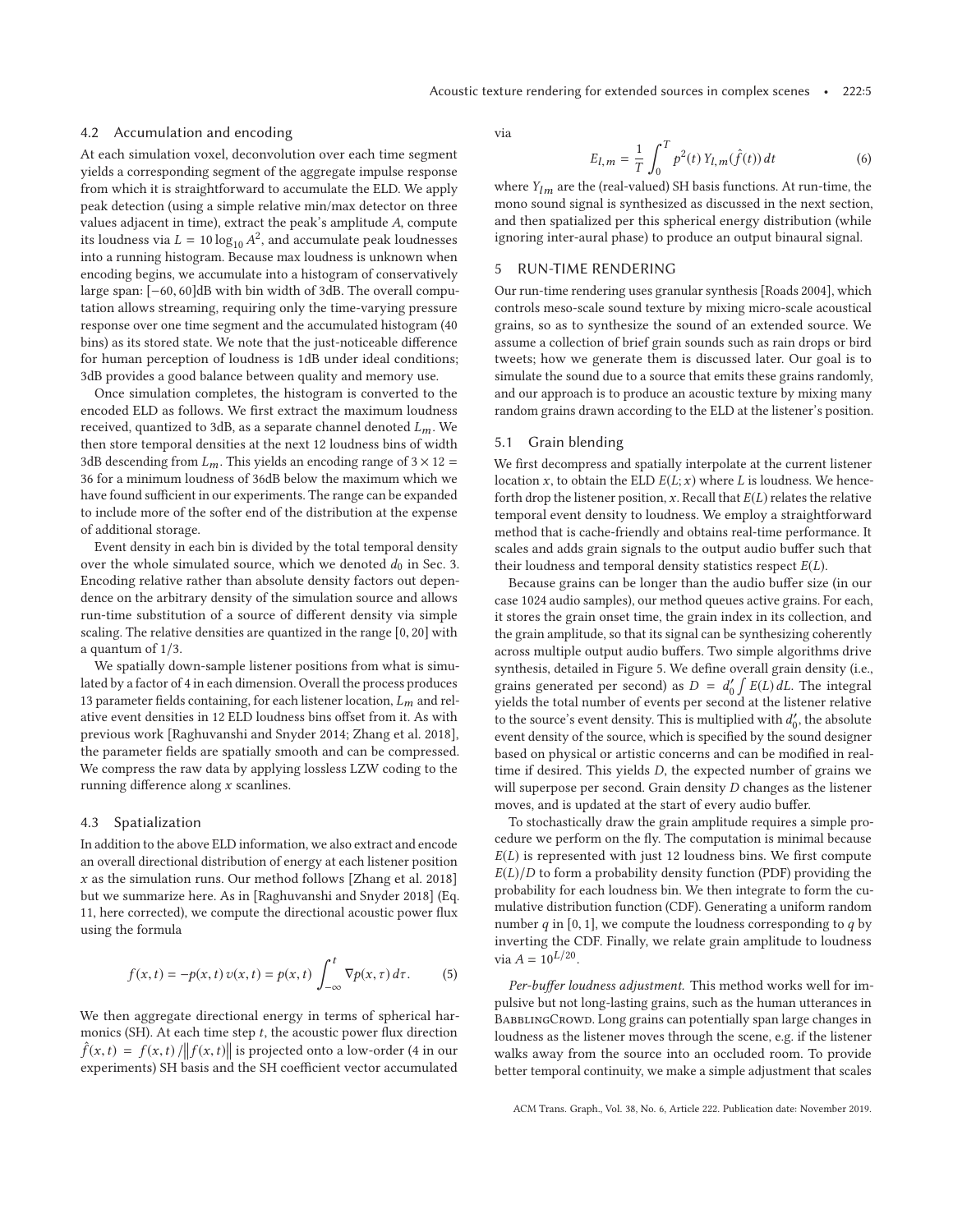#### 4.2 Accumulation and encoding

At each simulation voxel, deconvolution over each time segment yields a corresponding segment of the aggregate impulse response from which it is straightforward to accumulate the ELD. We apply peak detection (using a simple relative min/max detector on three values adjacent in time), extract the peak's amplitude A, compute its loudness via  $L = 10 \log_{10} A^2$ , and accumulate peak loudnesses into a running histogram. Because max loudness is unknown when encoding begins, we accumulate into a histogram of conservatively large span: [−60, 60]dB with bin width of 3dB. The overall computation allows streaming, requiring only the time-varying pressure response over one time segment and the accumulated histogram (40 bins) as its stored state. We note that the just-noticeable difference for human perception of loudness is 1dB under ideal conditions; 3dB provides a good balance between quality and memory use.

Once simulation completes, the histogram is converted to the encoded ELD as follows. We first extract the maximum loudness received, quantized to 3dB, as a separate channel denoted  $L_m$ . We then store temporal densities at the next 12 loudness bins of width 3dB descending from  $L_m$ . This yields an encoding range of 3  $\times$  12 = 36 for a minimum loudness of 36dB below the maximum which we have found sufficient in our experiments. The range can be expanded to include more of the softer end of the distribution at the expense of additional storage.

Event density in each bin is divided by the total temporal density over the whole simulated source, which we denoted  $d_0$  in Sec. 3. Encoding relative rather than absolute density factors out dependence on the arbitrary density of the simulation source and allows run-time substitution of a source of different density via simple scaling. The relative densities are quantized in the range [0, 20] with a quantum of 1/3.

We spatially down-sample listener positions from what is simulated by a factor of 4 in each dimension. Overall the process produces 13 parameter fields containing, for each listener location,  $L_m$  and relative event densities in 12 ELD loudness bins offset from it. As with previous work [Raghuvanshi and Snyder 2014; Zhang et al. 2018], the parameter fields are spatially smooth and can be compressed. We compress the raw data by applying lossless LZW coding to the running difference along  $x$  scanlines.

#### 4.3 Spatialization

In addition to the above ELD information, we also extract and encode an overall directional distribution of energy at each listener position  $x$  as the simulation runs. Our method follows [Zhang et al. 2018] but we summarize here. As in [Raghuvanshi and Snyder 2018] (Eq. 11, here corrected), we compute the directional acoustic power flux using the formula

$$
f(x,t) = -p(x,t)v(x,t) = p(x,t)\int_{-\infty}^{t} \nabla p(x,\tau) d\tau.
$$
 (5)

We then aggregate directional energy in terms of spherical harmonics (SH). At each time step  $t$ , the acoustic power flux direction  $\hat{f}(x,t) = f(x,t) / ||f(x,t)||$  is projected onto a low-order (4 in our  $f(x, t) = f(x, t) / ||f(x, t)||$  is projected onto a low-order (4 in our experiments) SH basis and the SH coefficient vector accumulated

via

$$
E_{l,m} = \frac{1}{T} \int_0^T p^2(t) Y_{l,m}(\hat{f}(t)) dt
$$
 (6)

where  $Y_{lm}$  are the (real-valued) SH basis functions. At run-time, the mono sound signal is synthesized as discussed in the next section, and then spatialized per this spherical energy distribution (while ignoring inter-aural phase) to produce an output binaural signal.

#### 5 RUN-TIME RENDERING

Our run-time rendering uses granular synthesis [Roads 2004], which controls meso-scale sound texture by mixing micro-scale acoustical grains, so as to synthesize the sound of an extended source. We assume a collection of brief grain sounds such as rain drops or bird tweets; how we generate them is discussed later. Our goal is to simulate the sound due to a source that emits these grains randomly, and our approach is to produce an acoustic texture by mixing many random grains drawn according to the ELD at the listener's position.

#### 5.1 Grain blending

We first decompress and spatially interpolate at the current listener location x, to obtain the ELD  $E(L; x)$  where L is loudness. We henceforth drop the listener position,  $x$ . Recall that  $E(L)$  relates the relative temporal event density to loudness. We employ a straightforward method that is cache-friendly and obtains real-time performance. It scales and adds grain signals to the output audio buffer such that their loudness and temporal density statistics respect  $E(L)$ .

Because grains can be longer than the audio buffer size (in our case 1024 audio samples), our method queues active grains. For each, it stores the grain onset time, the grain index in its collection, and the grain amplitude, so that its signal can be synthesizing coherently across multiple output audio buffers. Two simple algorithms drive synthesis, detailed in Figure 5. We define overall grain density (i.e., grains generated per second) as  $D = d'_0 \int E(L) dL$ . The integral yields the total number of events per second at the listener relative to the source's event density. This is multiplied with  $d'_0$ , the absolute event density of the source, which is specified by the sound designer based on physical or artistic concerns and can be modified in realtime if desired. This yields D, the expected number of grains we will superpose per second. Grain density D changes as the listener moves, and is updated at the start of every audio buffer.

To stochastically draw the grain amplitude requires a simple procedure we perform on the fly. The computation is minimal because  $E(L)$  is represented with just 12 loudness bins. We first compute  $E(L)/D$  to form a probability density function (PDF) providing the probability for each loudness bin. We then integrate to form the cumulative distribution function (CDF). Generating a uniform random number  $q$  in [0, 1], we compute the loudness corresponding to  $q$  by inverting the CDF. Finally, we relate grain amplitude to loudness via  $A = 10^{L/20}$ .

*Per-buffer loudness adjustment.* This method works well for impulsive but not long-lasting grains, such as the human utterances in BABBLINGCROWD. Long grains can potentially span large changes in loudness as the listener moves through the scene, e.g. if the listener walks away from the source into an occluded room. To provide better temporal continuity, we make a simple adjustment that scales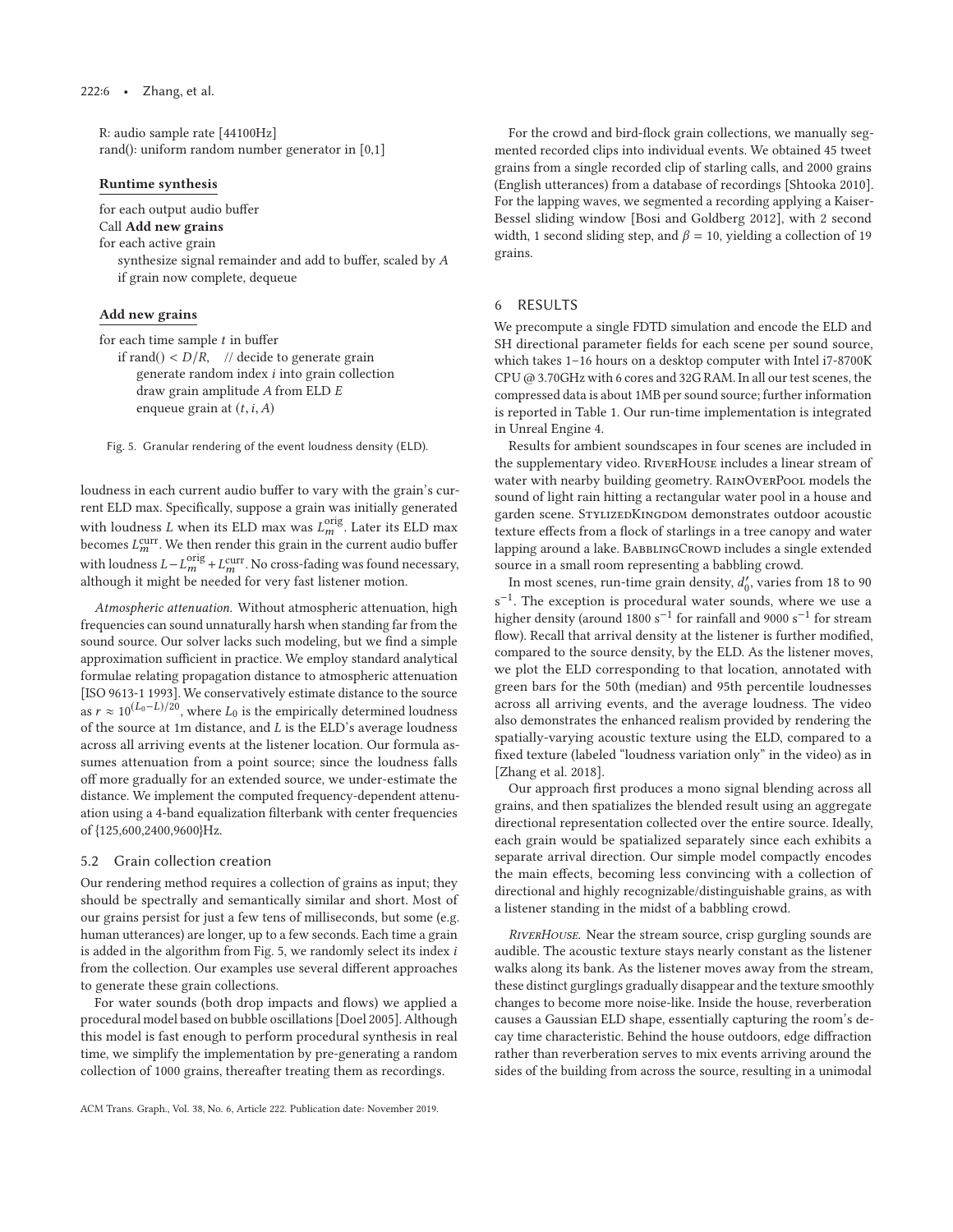R: audio sample rate [44100Hz] rand(): uniform random number generator in [0,1]

#### **Runtime synthesis**

for each output audio buffer

Call **Add new grains**

for each active grain

synthesize signal remainder and add to buffer, scaled by A if grain now complete, dequeue

# **Add new grains**

for each time sample  $t$  in buffer

if rand()  $\langle D/R, \rangle$  // decide to generate grain generate random index i into grain collection draw grain amplitude A from ELD E enqueue grain at  $(t, i, A)$ 

Fig. 5. Granular rendering of the event loudness density (ELD).

loudness in each current audio buffer to vary with the grain's current ELD max. Specifically, suppose a grain was initially generated with loudness  $L$  when its ELD max was  $L_m^{\text{orig}}$ . Later its ELD max becomes  $L_m^{\text{curr}}$ . We then render this grain in the current audio buffer with loudness  $L - L_m^{\text{orig}} + L_m^{\text{curr}}$ . No cross-fading was found necessary, although it might be needed for very fast listener motion.

*Atmospheric attenuation.* Without atmospheric attenuation, high frequencies can sound unnaturally harsh when standing far from the sound source. Our solver lacks such modeling, but we find a simple approximation sufficient in practice. We employ standard analytical formulae relating propagation distance to atmospheric attenuation [ISO 9613-1 1993]. We conservatively estimate distance to the source as  $r \approx 10^{(L_0 - L)/20}$ , where  $L_0$  is the empirically determined loudness of the source at 1m distance, and L is the ELD's average loudness across all arriving events at the listener location. Our formula assumes attenuation from a point source; since the loudness falls off more gradually for an extended source, we under-estimate the distance. We implement the computed frequency-dependent attenuation using a 4-band equalization filterbank with center frequencies of {125,600,2400,9600}Hz.

#### 5.2 Grain collection creation

Our rendering method requires a collection of grains as input; they should be spectrally and semantically similar and short. Most of our grains persist for just a few tens of milliseconds, but some (e.g. human utterances) are longer, up to a few seconds. Each time a grain is added in the algorithm from Fig. 5, we randomly select its index i from the collection. Our examples use several different approaches to generate these grain collections.

For water sounds (both drop impacts and flows) we applied a procedural model based on bubble oscillations [Doel 2005]. Although this model is fast enough to perform procedural synthesis in real time, we simplify the implementation by pre-generating a random collection of 1000 grains, thereafter treating them as recordings.

For the crowd and bird-flock grain collections, we manually segmented recorded clips into individual events. We obtained 45 tweet grains from a single recorded clip of starling calls, and 2000 grains (English utterances) from a database of recordings [Shtooka 2010]. For the lapping waves, we segmented a recording applying a Kaiser-Bessel sliding window [Bosi and Goldberg 2012], with 2 second width, 1 second sliding step, and  $\beta = 10$ , yielding a collection of 19 grains.

#### 6 RESULTS

We precompute a single FDTD simulation and encode the ELD and SH directional parameter fields for each scene per sound source, which takes 1–16 hours on a desktop computer with Intel i7-8700K CPU @ 3.70GHz with 6 cores and 32G RAM. In all our test scenes, the compressed data is about 1MB per sound source; further information is reported in Table 1. Our run-time implementation is integrated in Unreal Engine 4.

Results for ambient soundscapes in four scenes are included in the supplementary video. RiverHouse includes a linear stream of water with nearby building geometry. RainOverPool models the sound of light rain hitting a rectangular water pool in a house and garden scene. STYLIZEDKINGDOM demonstrates outdoor acoustic texture effects from a flock of starlings in a tree canopy and water lapping around a lake. BABBLINGCROWD includes a single extended source in a small room representing a babbling crowd.

In most scenes, run-time grain density,  $d_0'$ , varies from 18 to 90 s<sup>-1</sup>. The exception is procedural water sounds, where we use a higher density (around 1800 s<sup>-1</sup> for rainfall and 9000 s<sup>-1</sup> for stream flow). Recall that arrival density at the listener is further modified, compared to the source density, by the ELD. As the listener moves, we plot the ELD corresponding to that location, annotated with green bars for the 50th (median) and 95th percentile loudnesses across all arriving events, and the average loudness. The video also demonstrates the enhanced realism provided by rendering the spatially-varying acoustic texture using the ELD, compared to a fixed texture (labeled "loudness variation only" in the video) as in [Zhang et al. 2018].

Our approach first produces a mono signal blending across all grains, and then spatializes the blended result using an aggregate directional representation collected over the entire source. Ideally, each grain would be spatialized separately since each exhibits a separate arrival direction. Our simple model compactly encodes the main effects, becoming less convincing with a collection of directional and highly recognizable/distinguishable grains, as with a listener standing in the midst of a babbling crowd.

*RiverHouse.* Near the stream source, crisp gurgling sounds are audible. The acoustic texture stays nearly constant as the listener walks along its bank. As the listener moves away from the stream, these distinct gurglings gradually disappear and the texture smoothly changes to become more noise-like. Inside the house, reverberation causes a Gaussian ELD shape, essentially capturing the room's decay time characteristic. Behind the house outdoors, edge diffraction rather than reverberation serves to mix events arriving around the sides of the building from across the source, resulting in a unimodal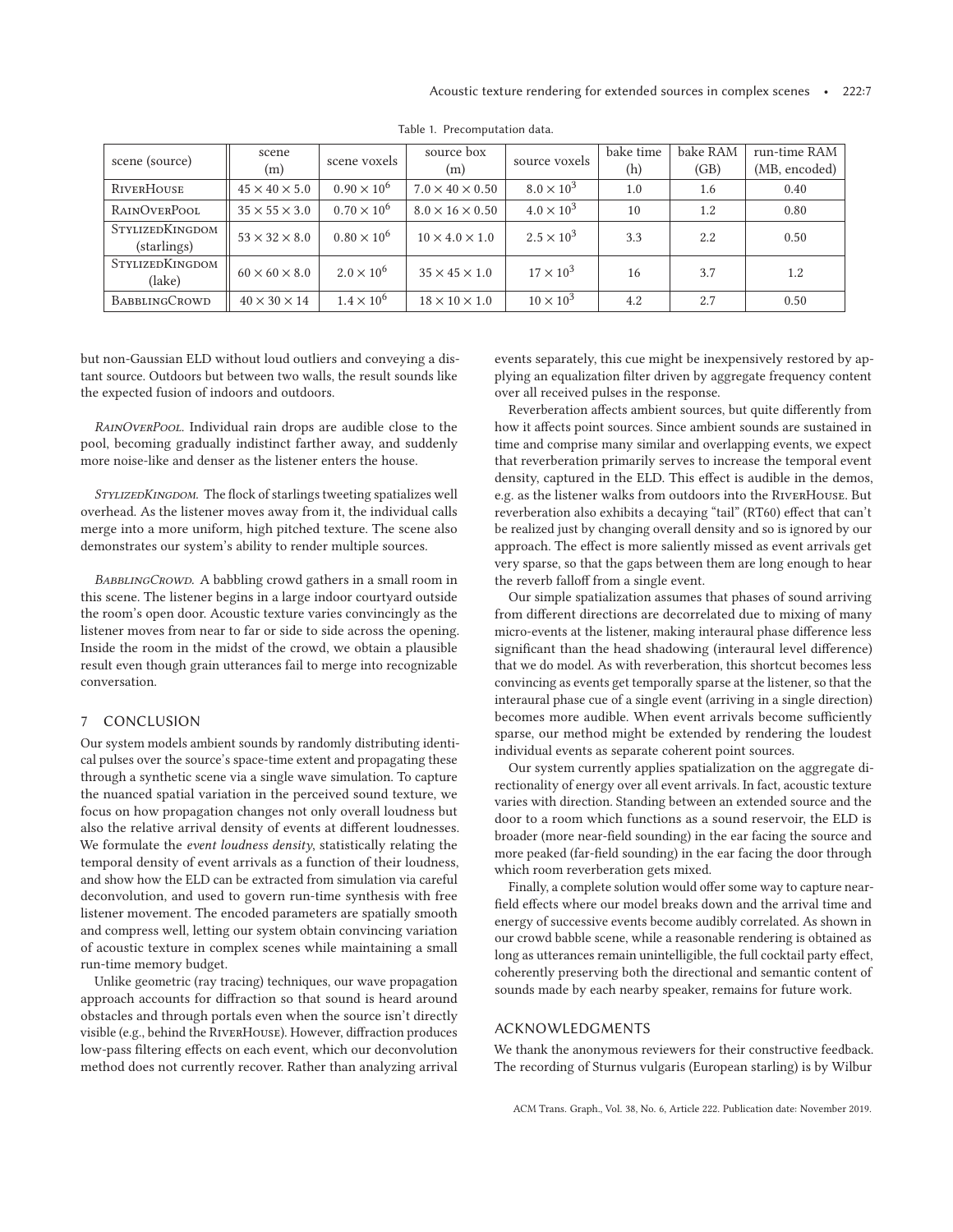| scene (source)                        | scene<br>(m)              | scene voxels         | source box<br>(m)           | source voxels       | bake time<br>(h) | bake RAM<br>(GB) | run-time RAM<br>(MB, encoded) |
|---------------------------------------|---------------------------|----------------------|-----------------------------|---------------------|------------------|------------------|-------------------------------|
| RIVERHOUSE                            | $45 \times 40 \times 5.0$ | $0.90 \times 10^{6}$ | $7.0 \times 40 \times 0.50$ | $8.0 \times 10^{3}$ | 1.0              | 1.6              | 0.40                          |
| RAINOVERPOOL                          | $35 \times 55 \times 3.0$ | $0.70 \times 10^{6}$ | $8.0 \times 16 \times 0.50$ | $4.0 \times 10^{3}$ | 10               | 1.2              | 0.80                          |
| <b>STYLIZEDKINGDOM</b><br>(starlings) | $53 \times 32 \times 8.0$ | $0.80 \times 10^{6}$ | $10 \times 4.0 \times 1.0$  | $2.5 \times 10^{3}$ | 3.3              | 2.2              | 0.50                          |
| STYLIZEDKINGDOM<br>(lake)             | $60 \times 60 \times 8.0$ | $2.0 \times 10^{6}$  | $35 \times 45 \times 1.0$   | $17 \times 10^3$    | 16               | 3.7              | 1.2                           |
| <b>BABBLINGCROWD</b>                  | $40 \times 30 \times 14$  | $1.4 \times 10^{6}$  | $18 \times 10 \times 1.0$   | $10 \times 10^3$    | 4.2              | 2.7              | 0.50                          |

Table 1. Precomputation data.

but non-Gaussian ELD without loud outliers and conveying a distant source. Outdoors but between two walls, the result sounds like the expected fusion of indoors and outdoors.

*RainOverPool.* Individual rain drops are audible close to the pool, becoming gradually indistinct farther away, and suddenly more noise-like and denser as the listener enters the house.

*StylizedKingdom.* The flock of starlings tweeting spatializes well overhead. As the listener moves away from it, the individual calls merge into a more uniform, high pitched texture. The scene also demonstrates our system's ability to render multiple sources.

*BabblingCrowd.* A babbling crowd gathers in a small room in this scene. The listener begins in a large indoor courtyard outside the room's open door. Acoustic texture varies convincingly as the listener moves from near to far or side to side across the opening. Inside the room in the midst of the crowd, we obtain a plausible result even though grain utterances fail to merge into recognizable conversation.

# 7 CONCLUSION

Our system models ambient sounds by randomly distributing identical pulses over the source's space-time extent and propagating these through a synthetic scene via a single wave simulation. To capture the nuanced spatial variation in the perceived sound texture, we focus on how propagation changes not only overall loudness but also the relative arrival density of events at different loudnesses. We formulate the *event loudness density*, statistically relating the temporal density of event arrivals as a function of their loudness, and show how the ELD can be extracted from simulation via careful deconvolution, and used to govern run-time synthesis with free listener movement. The encoded parameters are spatially smooth and compress well, letting our system obtain convincing variation of acoustic texture in complex scenes while maintaining a small run-time memory budget.

Unlike geometric (ray tracing) techniques, our wave propagation approach accounts for diffraction so that sound is heard around obstacles and through portals even when the source isn't directly visible (e.g., behind the RiverHouse). However, diffraction produces low-pass filtering effects on each event, which our deconvolution method does not currently recover. Rather than analyzing arrival

events separately, this cue might be inexpensively restored by applying an equalization filter driven by aggregate frequency content over all received pulses in the response.

Reverberation affects ambient sources, but quite differently from how it affects point sources. Since ambient sounds are sustained in time and comprise many similar and overlapping events, we expect that reverberation primarily serves to increase the temporal event density, captured in the ELD. This effect is audible in the demos, e.g. as the listener walks from outdoors into the RiverHouse. But reverberation also exhibits a decaying "tail" (RT60) effect that can't be realized just by changing overall density and so is ignored by our approach. The effect is more saliently missed as event arrivals get very sparse, so that the gaps between them are long enough to hear the reverb falloff from a single event.

Our simple spatialization assumes that phases of sound arriving from different directions are decorrelated due to mixing of many micro-events at the listener, making interaural phase difference less significant than the head shadowing (interaural level difference) that we do model. As with reverberation, this shortcut becomes less convincing as events get temporally sparse at the listener, so that the interaural phase cue of a single event (arriving in a single direction) becomes more audible. When event arrivals become sufficiently sparse, our method might be extended by rendering the loudest individual events as separate coherent point sources.

Our system currently applies spatialization on the aggregate directionality of energy over all event arrivals. In fact, acoustic texture varies with direction. Standing between an extended source and the door to a room which functions as a sound reservoir, the ELD is broader (more near-field sounding) in the ear facing the source and more peaked (far-field sounding) in the ear facing the door through which room reverberation gets mixed.

Finally, a complete solution would offer some way to capture nearfield effects where our model breaks down and the arrival time and energy of successive events become audibly correlated. As shown in our crowd babble scene, while a reasonable rendering is obtained as long as utterances remain unintelligible, the full cocktail party effect, coherently preserving both the directional and semantic content of sounds made by each nearby speaker, remains for future work.

#### ACKNOWLEDGMENTS

We thank the anonymous reviewers for their constructive feedback. The recording of Sturnus vulgaris (European starling) is by Wilbur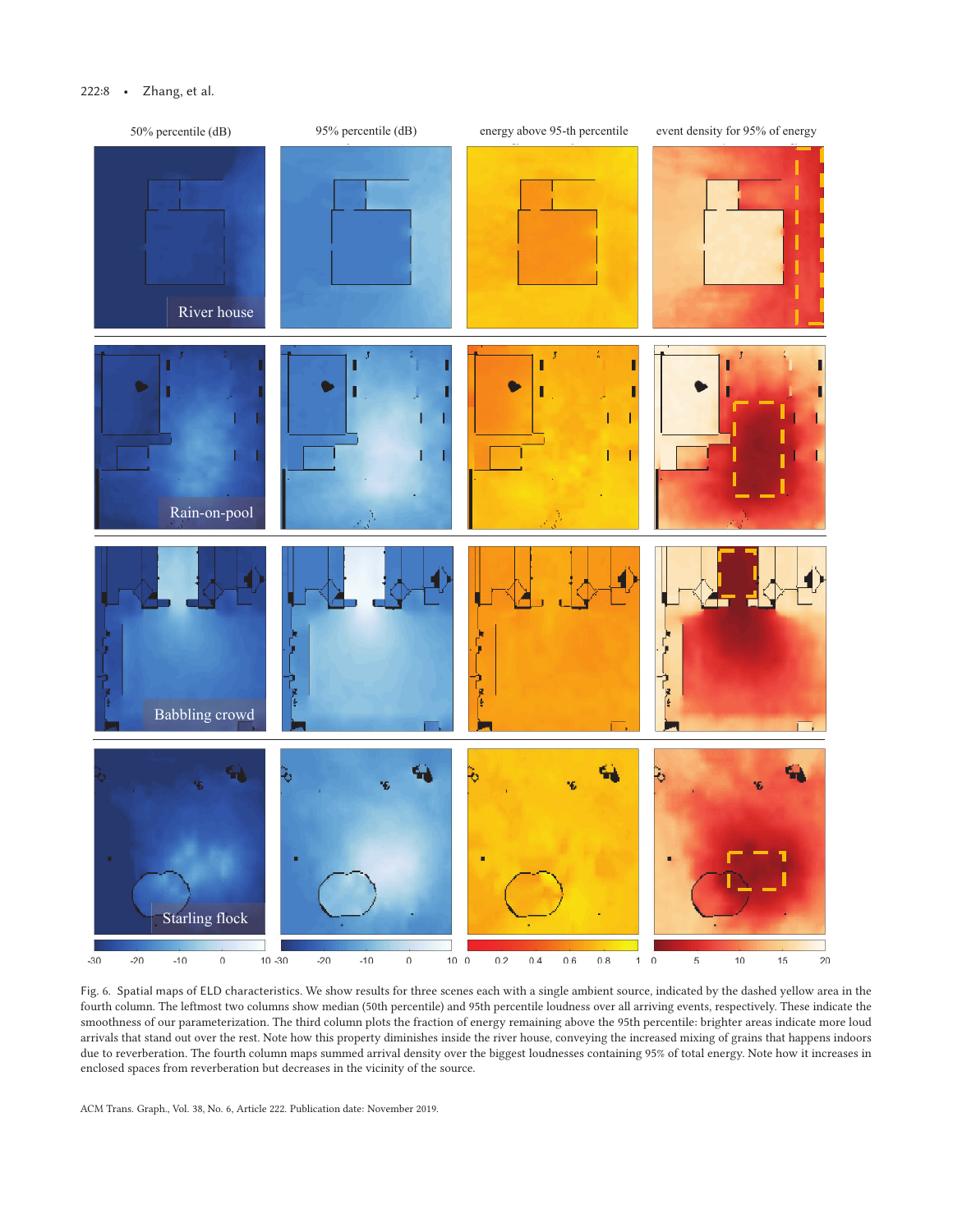# 222:8 • Zhang, et al.



Fig. 6. Spatial maps of ELD characteristics. We show results for three scenes each with a single ambient source, indicated by the dashed yellow area in the fourth column. The leftmost two columns show median (50th percentile) and 95th percentile loudness over all arriving events, respectively. These indicate the smoothness of our parameterization. The third column plots the fraction of energy remaining above the 95th percentile: brighter areas indicate more loud arrivals that stand out over the rest. Note how this property diminishes inside the river house, conveying the increased mixing of grains that happens indoors due to reverberation. The fourth column maps summed arrival density over the biggest loudnesses containing 95% of total energy. Note how it increases in enclosed spaces from reverberation but decreases in the vicinity of the source.